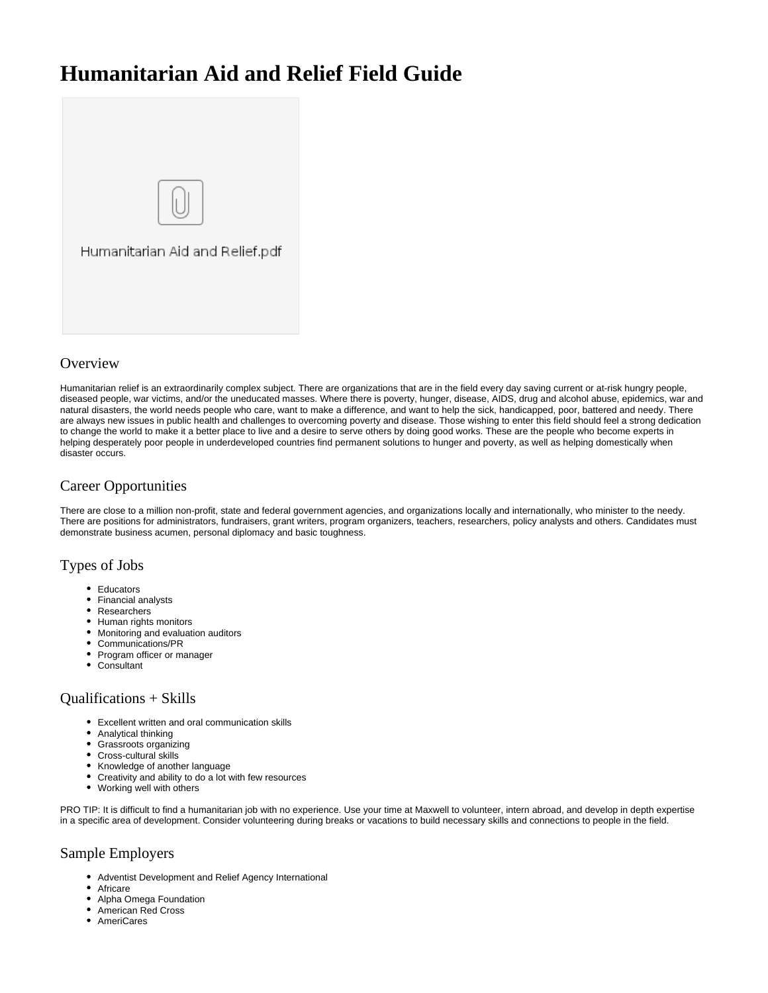# **Humanitarian Aid and Relief Field Guide**



# **Overview**

Humanitarian relief is an extraordinarily complex subject. There are organizations that are in the field every day saving current or at-risk hungry people, diseased people, war victims, and/or the uneducated masses. Where there is poverty, hunger, disease, AIDS, drug and alcohol abuse, epidemics, war and natural disasters, the world needs people who care, want to make a difference, and want to help the sick, handicapped, poor, battered and needy. There are always new issues in public health and challenges to overcoming poverty and disease. Those wishing to enter this field should feel a strong dedication to change the world to make it a better place to live and a desire to serve others by doing good works. These are the people who become experts in helping desperately poor people in underdeveloped countries find permanent solutions to hunger and poverty, as well as helping domestically when disaster occurs.

# Career Opportunities

There are close to a million non-profit, state and federal government agencies, and organizations locally and internationally, who minister to the needy. There are positions for administrators, fundraisers, grant writers, program organizers, teachers, researchers, policy analysts and others. Candidates must demonstrate business acumen, personal diplomacy and basic toughness.

## Types of Jobs

- Educators
- Financial analysts
- Researchers
- Human rights monitors
- Monitoring and evaluation auditors
- Communications/PR
- Program officer or manager
- Consultant

## Qualifications + Skills

- Excellent written and oral communication skills
- Analytical thinking
- Grassroots organizing
- Cross-cultural skills
- Knowledge of another language
- Creativity and ability to do a lot with few resources
- Working well with others

PRO TIP: It is difficult to find a humanitarian job with no experience. Use your time at Maxwell to volunteer, intern abroad, and develop in depth expertise in a specific area of development. Consider volunteering during breaks or vacations to build necessary skills and connections to people in the field.

# Sample Employers

- Adventist Development and Relief Agency International
- Africare
- Alpha Omega Foundation
- American Red Cross
- **AmeriCares**